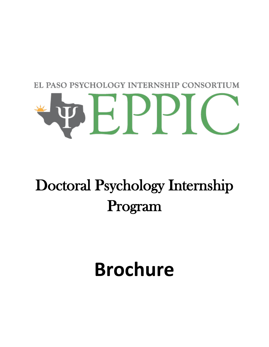# EL PASO PSYCHOLOGY INTERNSHIP CONSORTIUM ▏┃ノ┃┘

## Doctoral Psychology Internship Program

# **Brochure**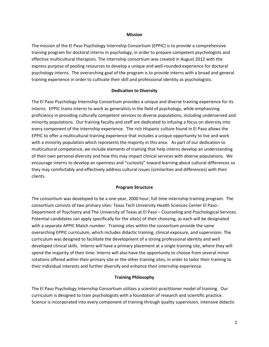#### **Mission**

The mission of the El Paso Psychology Internship Consortium (EPPIC) is to provide a comprehensive training program for doctoral interns in psychology, in order to prepare competent psychologists and effective multicultural therapists. The internship consortium was created in August 2012 with the express purpose of pooling resources to develop a unique and well-rounded experience for doctoral psychology interns. The overarching goal of the program is to provide interns with a broad and general training experience in order to cultivate their skill and professional identity as psychologists.

#### **Dedication to Diversity**

The El Paso Psychology Internship Consortium provides a unique and diverse training experience for its interns. EPPIC trains interns to work as generalists in the field of psychology, while emphasizing proficiency in providing culturally competent services to diverse populations, including underserved and minority populations. Our training faculty and staff are dedicated to infusing a focus on diversity into every component of the internship experience. The rich Hispanic culture found in El Paso allows the EPPIC to offer a multicultural training experience that includes a unique opportunity to live and work with a minority population which represents the majority in this area. As part of our dedication to multicultural competence, we include elements of training that help interns develop an understanding of their own personal diversity and how this may impact clinical services with diverse populations. We encourage interns to develop an openness and "curiosity" toward learning about cultural differences so they may comfortably and effectively address cultural issues (similarities and differences) with their clients.

#### **Program Structure**

The consortium was developed to be a one-year, 2000 hour, full time internship training program. The consortium consists of two primary sites: Texas Tech University Health Sciences Center El Paso - Department of Psychiatry and The University of Texas at El Paso – Counseling and Psychological Services. Potential candidates can apply specifically for the site(s) of their choosing, as each will be designated with a separate APPIC Match number. Training sites within the consortium provide the same overarching EPPIC curriculum, which includes didactic training, clinical exposure, and supervision. The curriculum was designed to facilitate the development of a strong professional identity and well developed clinical skills. Interns will have a primary placement at a single training site, where they will spend the majority of their time. Interns will also have the opportunity to choose from several minor rotations offered within their primary site or the other training sites, in order to tailor their training to their individual interests and further diversify and enhance their internship experience.

#### **Training Philosophy**

The El Paso Psychology Internship Consortium utilizes a scientist-practitioner model of training. Our curriculum is designed to train psychologists with a foundation of research and scientific practice. Science is incorporated into every component of training through quality supervision, intensive didactic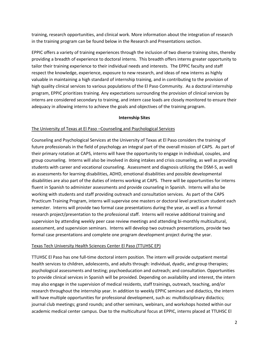training, research opportunities, and clinical work. More information about the integration of research in the training program can be found below in the Research and Presentations section.

EPPIC offers a variety of training experiences through the inclusion of two diverse training sites, thereby providing a breadth of experience to doctoral interns. This breadth offers interns greater opportunity to tailor their training experience to their individual needs and interests. The EPPIC faculty and staff respect the knowledge, experience, exposure to new research, and ideas of new interns as highly valuable in maintaining a high standard of internship training, and in contributing to the provision of high quality clinical services to various populations of the El Paso Community. As a doctoral internship program, EPPIC prioritizes training. Any expectations surrounding the provision of clinical services by interns are considered secondary to training, and intern case loads are closely monitored to ensure their adequacy in allowing interns to achieve the goals and objectives of the training program.

#### **Internship Sites**

#### The University of Texas at El Paso –Counseling and Psychological Services

Counseling and Psychological Services at the University of Texas at El Paso considers the training of future professionals in the field of psychology an integral part of the overall mission of CAPS. As part of their primary rotation at CAPS, interns will have the opportunity to engage in individual, couples, and group counseling. Interns will also be involved in doing intakes and crisis counseling, as well as providing students with career and vocational counseling. Assessment and diagnosis utilizing the DSM-5, as well as assessments for learning disabilities, ADHD, emotional disabilities and possible developmental disabilities are also part of the duties of interns working at CAPS. There will be opportunities for interns fluent in Spanish to administer assessments and provide counseling in Spanish. Interns will also be working with students and staff providing outreach and consultation services. As part of the CAPS Practicum Training Program, interns will supervise one masters or doctoral level practicum student each semester. Interns will provide two formal case presentations during the year, as well as a formal research project/presentation to the professional staff. Interns will receive additional training and supervision by attending weekly peer case review meetings and attending bi-monthly multicultural, assessment, and supervision seminars. Interns will develop two outreach presentations, provide two formal case presentations and complete one program development project during the year.

#### Texas Tech University Health Sciences Center El Paso (TTUHSC EP)

TTUHSC El Paso has one full-time doctoral intern position. The intern will provide outpatient mental health services to children, adolescents, and adults through: individual, dyadic, and group therapies; psychological assessments and testing; psychoeducation and outreach; and consultation. Opportunities to provide clinical services in Spanish will be provided. Depending on availability and interest, the intern may also engage in the supervision of medical residents, staff trainings, outreach, teaching, and/or research throughout the internship year. In addition to weekly EPPIC seminars and didactics, the intern will have multiple opportunities for professional development, such as: multidisciplinary didactics; journal club meetings; grand rounds; and other seminars, webinars, and workshops hosted within our academic medical center campus. Due to the multicultural focus at EPPIC, interns placed at TTUHSC El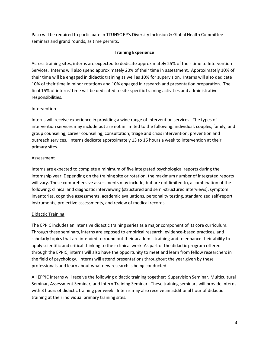Paso will be required to participate in TTUHSC EP's Diversity Inclusion & Global Health Committee seminars and grand rounds, as time permits.

#### **Training Experience**

Across training sites, interns are expected to dedicate approximately 25% of their time to Intervention Services. Interns will also spend approximately 20% of their time in assessment. Approximately 10% of their time will be engaged in didactic training as well as 10% for supervision. Interns will also dedicate 10% of their time in minor rotations and 10% engaged in research and presentation preparation. The final 15% of interns' time will be dedicated to site-specific training activities and administrative responsibilities.

#### Intervention

Interns will receive experience in providing a wide range of intervention services. The types of intervention services may include but are not in limited to the following: individual, couples, family, and group counseling; career counseling; consultation; triage and crisis intervention; prevention and outreach services. Interns dedicate approximately 13 to 15 hours a week to intervention at their primary sites.

#### Assessment

Interns are expected to complete a minimum of five integrated psychological reports during the internship year. Depending on the training site or rotation, the maximum number of integrated reports will vary. These comprehensive assessments may include, but are not limited to, a combination of the following: clinical and diagnostic interviewing (structured and semi-structured interviews), symptom inventories, cognitive assessments, academic evaluations, personality testing, standardized self-report instruments, projective assessments, and review of medical records.

#### Didactic Training

The EPPIC includes an intensive didactic training series as a major component of its core curriculum. Through these seminars, interns are exposed to empirical research, evidence-based practices, and scholarly topics that are intended to round out their academic training and to enhance their ability to apply scientific and critical thinking to their clinical work. As part of the didactic program offered through the EPPIC, interns will also have the opportunity to meet and learn from fellow researchers in the field of psychology. Interns will attend presentations throughout the year given by these professionals and learn about what new research is being conducted.

All EPPIC interns will receive the following didactic training together: Supervision Seminar, Multicultural Seminar, Assessment Seminar, and Intern Training Seminar. These training seminars will provide interns with 3 hours of didactic training per week. Interns may also receive an additional hour of didactic training at their individual primary training sites.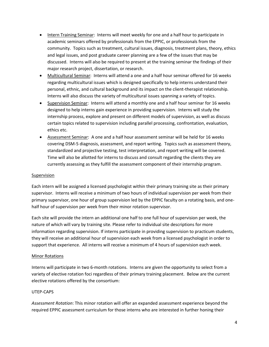- Intern Training Seminar: Interns will meet weekly for one and a half hour to participate in academic seminars offered by professionals from the EPPIC, or professionals from the community. Topics such as treatment, cultural issues, diagnosis, treatment plans, theory, ethics and legal issues, and post graduate career planning are a few of the issues that may be discussed. Interns will also be required to present at the training seminar the findings of their major research project, dissertation, or research.
- Multicultural Seminar: Interns will attend a one and a half hour seminar offered for 16 weeks regarding multicultural issues which is designed specifically to help interns understand their personal, ethnic, and cultural background and its impact on the client-therapist relationship. Interns will also discuss the variety of multicultural issues spanning a variety of topics.
- Supervision Seminar: Interns will attend a monthly one and a half hour seminar for 16 weeks designed to help interns gain experience in providing supervision. Interns will study the internship process, explore and present on different models of supervision, as well as discuss certain topics related to supervision including parallel processing, confrontation, evaluation, ethics etc.
- Assessment Seminar: A one and a half hour assessment seminar will be held for 16 weeks covering DSM-5 diagnosis, assessment, and report writing. Topics such as assessment theory, standardized and projective testing, test interpretation, and report writing will be covered. Time will also be allotted for interns to discuss and consult regarding the clients they are currently assessing as they fulfill the assessment component of their internship program.

#### Supervision

Each intern will be assigned a licensed psychologist within their primary training site as their primary supervisor. Interns will receive a minimum of two hours of individual supervision per week from their primary supervisor, one hour of group supervision led by the EPPIC faculty on a rotating basis, and onehalf hour of supervision per week from their minor rotation supervisor.

Each site will provide the intern an additional one half to one full hour of supervision per week, the nature of which will vary by training site. Please refer to individual site descriptions for more information regarding supervision. If interns participate in providing supervision to practicum students, they will receive an additional hour of supervision each week from a licensed psychologist in order to support that experience. All interns will receive a minimum of 4 hours of supervision each week.

#### Minor Rotations

Interns will participate in two 6-month rotations. Interns are given the opportunity to select from a variety of elective rotation foci regardless of their primary training placement. Below are the current elective rotations offered by the consortium:

#### UTEP-CAPS

*Assessment Rotation*: This minor rotation will offer an expanded assessment experience beyond the required EPPIC assessment curriculum for those interns who are interested in further honing their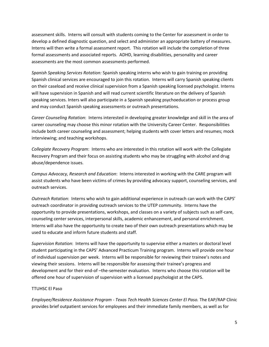assessment skills. Interns will consult with students coming to the Center for assessment in order to develop a defined diagnostic question, and select and administer an appropriate battery of measures. Interns will then write a formal assessment report. This rotation will include the completion of three formal assessments and associated reports. ADHD, learning disabilities, personality and career assessments are the most common assessments performed.

*Spanish Speaking Services Rotation:* Spanish speaking interns who wish to gain training on providing Spanish clinical services are encouraged to join this rotation. Interns will carry Spanish speaking clients on their caseload and receive clinical supervision from a Spanish speaking licensed psychologist. Interns will have supervision in Spanish and will read current scientific literature on the delivery of Spanish speaking services. Inters will also participate in a Spanish speaking psychoeducation or process group and may conduct Spanish speaking assessments or outreach presentations.

*Career Counseling Rotation*: Interns interested in developing greater knowledge and skill in the area of career counseling may choose this minor rotation with the University Career Center. Responsibilities include both career counseling and assessment; helping students with cover letters and resumes; mock interviewing; and teaching workshops.

*Collegiate Recovery Program*: Interns who are interested in this rotation will work with the Collegiate Recovery Program and their focus on assisting students who may be struggling with alcohol and drug abuse/dependence issues.

*Campus Advocacy, Research and Education*: Interns interested in working with the CARE program will assist students who have been victims of crimes by providing advocacy support, counseling services, and outreach services.

*Outreach Rotation*: Interns who wish to gain additional experience in outreach can work with the CAPS' outreach coordinator in providing outreach services to the UTEP community. Interns have the opportunity to provide presentations, workshops, and classes on a variety of subjects such as self-care, counseling center services, interpersonal skills, academic enhancement, and personal enrichment. Interns will also have the opportunity to create two of their own outreach presentations which may be used to educate and inform future students and staff.

*Supervision Rotation*: Interns will have the opportunity to supervise either a masters or doctoral level student participating in the CAPS' Advanced Practicum Training program. Interns will provide one hour of individual supervision per week. Interns will be responsible for reviewing their trainee's notes and viewing their sessions. Interns will be responsible for assessing their trainee's progress and development and for their end-of –the-semester evaluation. Interns who choose this rotation will be offered one hour of supervision of supervision with a licensed psychologist at the CAPS.

#### TTUHSC El Paso

*Employee/Residence Assistance Program - Texas Tech Health Sciences Center El Paso.* The EAP/RAP Clinic provides brief outpatient services for employees and their immediate family members, as well as for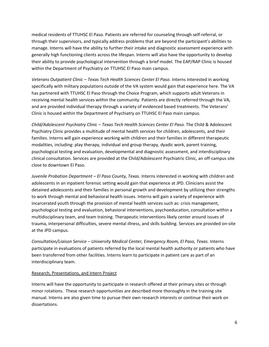medical residents of TTUHSC El Paso. Patients are referred for counseling through self-referral, or through their supervisors, and typically address problems that are beyond the participant's abilities to manage. Interns will have the ability to further their intake and diagnostic assessment experience with generally high functioning clients across the lifespan. Interns will also have the opportunity to develop their ability to provide psychological intervention through a brief model. The EAP/RAP Clinic is housed within the Department of Psychiatry on TTUHSC El Paso main campus.

*Veterans Outpatient Clinic – Texas Tech Health Sciences Center El Paso.* Interns interested in working specifically with military populations outside of the VA system would gain that experience here. The VA has partnered with TTUHSC El Paso through the Choice Program, which supports adult Veterans in receiving mental health services within the community. Patients are directly referred through the VA, and are provided individual therapy through a variety of evidenced based treatments. The Veterans' Clinic is housed within the Department of Psychiatry on TTUHSC El Paso main campus.

*Child/Adolescent Psychiatry Clinic – Texas Tech Health Sciences Center El Paso.* The Child & Adolescent Psychiatry Clinic provides a multitude of mental health services for children, adolescents, and their families. Interns will gain experience working with children and their families in different therapeutic modalities, including: play therapy, individual and group therapy, dyadic work, parent training, psychological testing and evaluation, developmental and diagnostic assessment, and interdisciplinary clinical consultation. Services are provided at the Child/Adolescent Psychiatric Clinic, an off-campus site close to downtown El Paso.

*Juvenile Probation Department – El Paso County, Texas*. Interns interested in working with children and adolescents in an inpatient forensic setting would gain that experience at JPD. Clinicians assist the detained adolescents and their families in personal growth and development by utilizing their strengths to work through mental and behavioral health issues. Interns will gain a variety of experience with incarcerated youth through the provision of mental health services such as: crisis management, psychological testing and evaluation, behavioral interventions, psychoeducation, consultation within a multidisciplinary team, and team training. Therapeutic interventions likely center around issues of trauma, interpersonal difficulties, severe mental illness, and skills building. Services are provided on-site at the JPD campus.

*Consultation/Liaison Service – University Medical Center, Emergency Room, El Paso, Texas.* Interns participate in evaluations of patients referred by the local mental health authority or patients who have been transferred from other facilities. Interns learn to participate in patient care as part of an interdisciplinary team.

#### Research, Presentations, and Intern Project

Interns will have the opportunity to participate in research offered at their primary sites or through minor rotations. These research opportunities are described more thoroughly in the training site manual. Interns are also given time to pursue their own research interests or continue their work on dissertations.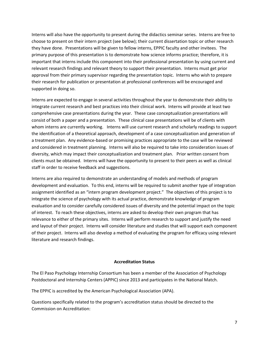Interns will also have the opportunity to present during the didactics seminar series. Interns are free to choose to present on their intern project (see below); their current dissertation topic or other research they have done. Presentations will be given to fellow interns, EPPIC faculty and other invitees. The primary purpose of this presentation is to demonstrate how science informs practice; therefore, it is important that interns include this component into their professional presentation by using current and relevant research findings and relevant theory to support their presentation. Interns must get prior approval from their primary supervisor regarding the presentation topic. Interns who wish to prepare their research for publication or presentation at professional conferences will be encouraged and supported in doing so.

Interns are expected to engage in several activities throughout the year to demonstrate their ability to integrate current research and best practices into their clinical work. Interns will provide at least two comprehensive case presentations during the year. These case conceptualization presentations will consist of both a paper and a presentation. These clinical case presentations will be of clients with whom interns are currently working. Interns will use current research and scholarly readings to support the identification of a theoretical approach, development of a case conceptualization and generation of a treatment plan. Any evidence-based or promising practices appropriate to the case will be reviewed and considered in treatment planning. Interns will also be required to take into consideration issues of diversity, which may impact their conceptualization and treatment plan. Prior written consent from clients must be obtained. Interns will have the opportunity to present to their peers as well as clinical staff in order to receive feedback and suggestions.

Interns are also required to demonstrate an understanding of models and methods of program development and evaluation. To this end, interns will be required to submit another type of integration assignment identified as an "intern program development project." The objectives of this project is to integrate the science of psychology with its actual practice, demonstrate knowledge of program evaluation and to consider carefully considered issues of diversity and the potential impact on the topic of interest. To reach these objectives, interns are asked to develop their own program that has relevance to either of the primary sites. Interns will perform research to support and justify the need and layout of their project. Interns will consider literature and studies that will support each component of their project. Interns will also develop a method of evaluating the program for efficacy using relevant literature and research findings.

#### **Accreditation Status**

The El Paso Psychology Internship Consortium has been a member of the Association of Psychology Postdoctoral and Internship Centers (APPIC) since 2013 and participates in the National Match.

The EPPIC is accredited by the American Psychological Association (APA).

Questions specifically related to the program's accreditation status should be directed to the Commission on Accreditation: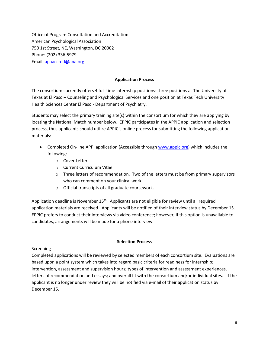Office of Program Consultation and Accreditation American Psychological Association 750 1st Street, NE, Washington, DC 20002 Phone: (202) 336-5979 Email: [apaaccred@apa.org](mailto:apaaccred@apa.org)

#### **Application Process**

The consortium currently offers 4 full-time internship positions: three positions at The University of Texas at El Paso – Counseling and Psychological Services and one position at Texas Tech University Health Sciences Center El Paso - Department of Psychiatry.

Students may select the primary training site(s) within the consortium for which they are applying by locating the National Match number below. EPPIC participates in the APPIC application and selection process, thus applicants should utilize APPIC's online process for submitting the following application materials:

- Completed On-line APPI application (Accessible through [www.appic.org\)](http://www.appic.org/) which includes the following:
	- o Cover Letter
	- o Current Curriculum Vitae
	- $\circ$  Three letters of recommendation. Two of the letters must be from primary supervisors who can comment on your clinical work.
	- o Official transcripts of all graduate coursework.

Application deadline is November 15<sup>th</sup>. Applicants are not eligible for review until all required application materials are received. Applicants will be notified of their interview status by December 15. EPPIC prefers to conduct their interviews via video conference; however, if this option is unavailable to candidates, arrangements will be made for a phone interview.

#### **Selection Process**

#### **Screening**

Completed applications will be reviewed by selected members of each consortium site. Evaluations are based upon a point system which takes into regard basic criteria for readiness for internship; intervention, assessment and supervision hours; types of intervention and assessment experiences, letters of recommendation and essays; and overall fit with the consortium and/or individual sites. If the applicant is no longer under review they will be notified via e-mail of their application status by December 15.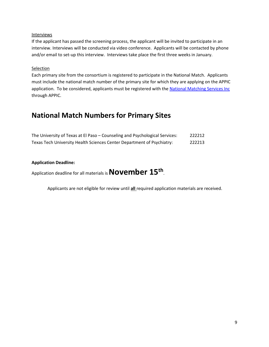#### **Interviews**

If the applicant has passed the screening process, the applicant will be invited to participate in an interview. Interviews will be conducted via video conference. Applicants will be contacted by phone and/or email to set-up this interview. Interviews take place the first three weeks in January.

#### Selection

Each primary site from the consortium is registered to participate in the National Match. Applicants must include the national match number of the primary site for which they are applying on the APPIC application. To be considered, applicants must be registered with the [National Matching Services Inc](http://www.natmatch.com/psychint/) through APPIC.

### **National Match Numbers for Primary Sites**

| The University of Texas at El Paso – Counseling and Psychological Services: | 222212 |
|-----------------------------------------------------------------------------|--------|
| Texas Tech University Health Sciences Center Department of Psychiatry:      | 222213 |

#### **Application Deadline:**

Application deadline for all materials is **November 15th** .

Applicants are not eligible for review until **all** required application materials are received.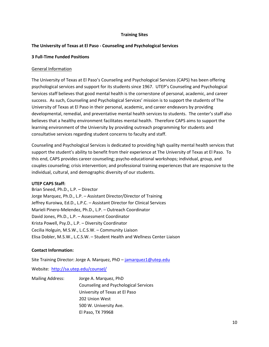#### **Training Sites**

#### **The University of Texas at El Paso - Counseling and Psychological Services**

#### **3 Full-Time Funded Positions**

#### General Information

The University of Texas at El Paso's Counseling and Psychological Services (CAPS) has been offering psychological services and support for its students since 1967. UTEP's Counseling and Psychological Services staff believes that good mental health is the cornerstone of personal, academic, and career success. As such, Counseling and Psychological Services' mission is to support the students of The University of Texas at El Paso in their personal, academic, and career endeavors by providing developmental, remedial, and preventative mental health services to students. The center's staff also believes that a healthy environment facilitates mental health. Therefore CAPS aims to support the learning environment of the University by providing outreach programming for students and consultative services regarding student concerns to faculty and staff.

Counseling and Psychological Services is dedicated to providing high quality mental health services that support the student's ability to benefit from their experience at The University of Texas at El Paso. To this end, CAPS provides career counseling; psycho-educational workshops; individual, group, and couples counseling; crisis intervention; and professional training experiences that are responsive to the individual, cultural, and demographic diversity of our students.

#### **UTEP CAPS Staff:**

Brian Sneed, Ph.D., L.P. – Director Jorge Marquez, Ph.D., L.P. – Assistant Director/Director of Training Jeffrey Kuroiwa, Ed.D., L.P.C. – Assistant Director for Clinical Services Marieli Pinero-Melendez, Ph.D., L.P. – Outreach Coordinator David Jones, Ph.D., L.P. – Assessment Coordinator Krista Powell, Psy.D., L.P. – Diversity Coordinator Cecilia Holguin, M.S.W., L.C.S.W. – Community Liaison Elisa Dobler, M.S.W., L.C.S.W. – Student Health and Wellness Center Liaison

#### **Contact Information:**

Site Training Director: Jorge A. Marquez, PhD – [jamarquez1@utep.edu](mailto:jamarquez1@utep.edu)

Website: <http://sa.utep.edu/counsel/>

| <b>Mailing Address:</b> | Jorge A. Marquez, PhD                 |
|-------------------------|---------------------------------------|
|                         | Counseling and Psychological Services |
|                         | University of Texas at El Paso        |
|                         | 202 Union West                        |
|                         | 500 W. University Ave.                |
|                         | El Paso, TX 79968                     |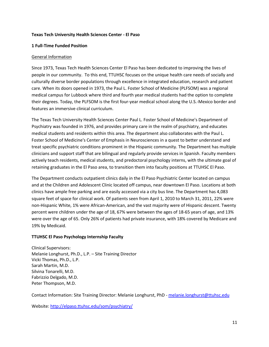#### **Texas Tech University Health Sciences Center - El Paso**

#### **1 Full-Time Funded Position**

#### General Information

Since 1973, Texas Tech Health Sciences Center El Paso has been dedicated to improving the lives of people in our community. To this end, TTUHSC focuses on the unique health care needs of socially and culturally diverse border populations through excellence in integrated education, research and patient care. When its doors opened in 1973, the Paul L. Foster School of Medicine (PLFSOM) was a regional medical campus for Lubbock where third and fourth year medical students had the option to complete their degrees. Today, the PLFSOM is the first four-year medical school along the U.S.-Mexico border and features an immersive clinical curriculum.

The Texas Tech University Health Sciences Center Paul L. Foster School of Medicine's Department of Psychiatry was founded in 1976, and provides primary care in the realm of psychiatry, and educates medical students and residents within this area. The department also collaborates with the Paul L. Foster School of Medicine's Center of Emphasis in Neurosciences in a quest to better understand and treat specific psychiatric conditions prominent in the Hispanic community. The Department has multiple clinicians and support staff that are bilingual and regularly provide services in Spanish. Faculty members actively teach residents, medical students, and predoctoral psychology interns, with the ultimate goal of retaining graduates in the El Paso area, to transition them into faculty positions at TTUHSC El Paso.

The Department conducts outpatient clinics daily in the El Paso Psychiatric Center located on campus and at the Children and Adolescent Clinic located off campus, near downtown El Paso. Locations at both clinics have ample free parking and are easily accessed via a city bus line. The Department has 4,083 square feet of space for clinical work. Of patients seen from April 1, 2010 to March 31, 2011, 22% were non-Hispanic White, 1% were African-American, and the vast majority were of Hispanic descent. Twenty percent were children under the age of 18, 67% were between the ages of 18-65 years of age, and 13% were over the age of 65. Only 26% of patients had private insurance, with 18% covered by Medicare and 19% by Medicaid.

#### **TTUHSC El Paso Psychology Internship Faculty**

Clinical Supervisors: Melanie Longhurst, Ph.D., L.P. – Site Training Director Vicki Thomas, Ph.D., L.P. Sarah Martin, M.D. Silvina Tonarelli, M.D. Fabrizzio Delgado, M.D. Peter Thompson, M.D.

Contact Information: Site Training Director: Melanie Longhurst, PhD - [melanie.longhurst@ttuhsc.edu](mailto:melanie.longhurst@ttuhsc.edu)

Website[: http://elpaso.ttuhsc.edu/som/psychiatry/](http://elpaso.ttuhsc.edu/som/psychiatry/)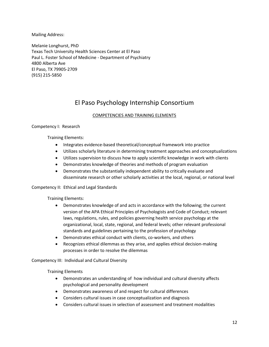Mailing Address:

Melanie Longhurst, PhD Texas Tech University Health Sciences Center at El Paso Paul L. Foster School of Medicine - Department of Psychiatry 4800 Alberta Ave El Paso, TX 79905-2709 (915) 215-5850

### El Paso Psychology Internship Consortium

#### COMPETENCIES AND TRAINING ELEMENTS

#### Competency I: Research

Training Elements:

- Integrates evidence-based theoretical/conceptual framework into practice
- Utilizes scholarly literature in determining treatment approaches and conceptualizations
- Utilizes supervision to discuss how to apply scientific knowledge in work with clients
- Demonstrates knowledge of theories and methods of program evaluation
- Demonstrates the substantially independent ability to critically evaluate and disseminate research or other scholarly activities at the local, regional, or national level

#### Competency II: Ethical and Legal Standards

Training Elements:

- Demonstrates knowledge of and acts in accordance with the following; the current version of the APA Ethical Principles of Psychologists and Code of Conduct; relevant laws, regulations, rules, and policies governing health service psychology at the organizational, local, state, regional, and federal levels; other relevant professional standards and guidelines pertaining to the profession of psychology
- Demonstrates ethical conduct with clients, co-workers, and others
- Recognizes ethical dilemmas as they arise, and applies ethical decision-making processes in order to resolve the dilemmas

Competency III: Individual and Cultural Diversity

Training Elements

- Demonstrates an understanding of how individual and cultural diversity affects psychological and personality development
- Demonstrates awareness of and respect for cultural differences
- Considers cultural issues in case conceptualization and diagnosis
- Considers cultural issues in selection of assessment and treatment modalities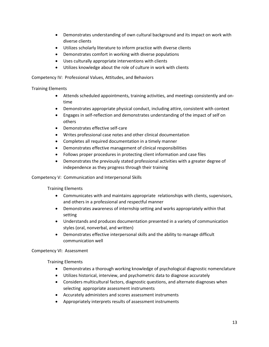- Demonstrates understanding of own cultural background and its impact on work with diverse clients
- Utilizes scholarly literature to inform practice with diverse clients
- Demonstrates comfort in working with diverse populations
- Uses culturally appropriate interventions with clients
- Utilizes knowledge about the role of culture in work with clients

Competency IV: Professional Values, Attitudes, and Behaviors

#### Training Elements

- Attends scheduled appointments, training activities, and meetings consistently and ontime
- Demonstrates appropriate physical conduct, including attire, consistent with context
- Engages in self-reflection and demonstrates understanding of the impact of self on others
- Demonstrates effective self-care
- Writes professional case notes and other clinical documentation
- Completes all required documentation in a timely manner
- Demonstrates effective management of clinical responsibilities
- Follows proper procedures in protecting client information and case files
- Demonstrates the previously stated professional activities with a greater degree of independence as they progress through their training

#### Competency V: Communication and Interpersonal Skills

#### Training Elements

- Communicates with and maintains appropriate relationships with clients, supervisors, and others in a professional and respectful manner
- Demonstrates awareness of internship setting and works appropriately within that setting
- Understands and produces documentation presented in a variety of communication styles (oral, nonverbal, and written)
- Demonstrates effective interpersonal skills and the ability to manage difficult communication well

#### Competency VI: Assessment

Training Elements

- Demonstrates a thorough working knowledge of psychological diagnostic nomenclature
- Utilizes historical, interview, and psychometric data to diagnose accurately
- Considers multicultural factors, diagnostic questions, and alternate diagnoses when selecting appropriate assessment instruments
- Accurately administers and scores assessment instruments
- Appropriately interprets results of assessment instruments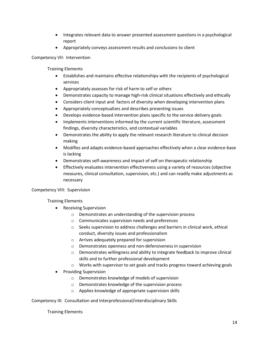- Integrates relevant data to answer presented assessment questions in a psychological report
- Appropriately conveys assessment results and conclusions to client

#### Competency VII: Intervention

Training Elements

- Establishes and maintains effective relationships with the recipients of psychological services
- Appropriately assesses for risk of harm to self or others
- Demonstrates capacity to manage high-risk clinical situations effectively and ethically
- Considers client input and factors of diversity when developing intervention plans
- Appropriately conceptualizes and describes presenting issues
- Develops evidence-based intervention plans specific to the service delivery goals
- Implements interventions informed by the current scientific literature, assessment findings, diversity characteristics, and contextual variables
- Demonstrates the ability to apply the relevant research literature to clinical decision making
- Modifies and adapts evidence-based approaches effectively when a clear evidence-base is lacking
- Demonstrates self-awareness and impact of self on therapeutic relationship
- Effectively evaluates intervention effectiveness using a variety of resources (objective measures, clinical consultation, supervision, etc.) and can readily make adjustments as necessary

#### Competency VIII: Supervision

#### Training Elements

- Receiving Supervision
	- o Demonstrates an understanding of the supervision process
	- o Communicates supervision needs and preferences
	- o Seeks supervision to address challenges and barriers in clinical work, ethical conduct, diversity issues and professionalism
	- o Arrives adequately prepared for supervision
	- o Demonstrates openness and non-defensiveness in supervision
	- o Demonstrates willingness and ability to integrate feedback to improve clinical skills and to further professional development
	- o Works with supervisor to set goals and tracks progress toward achieving goals
- Providing Supervision
	- o Demonstrates knowledge of models of supervision
	- o Demonstrates knowledge of the supervision process
	- o Applies knowledge of appropriate supervision skills

Competency IX: Consultation and Interprofessional/interdisciplinary Skills

Training Elements